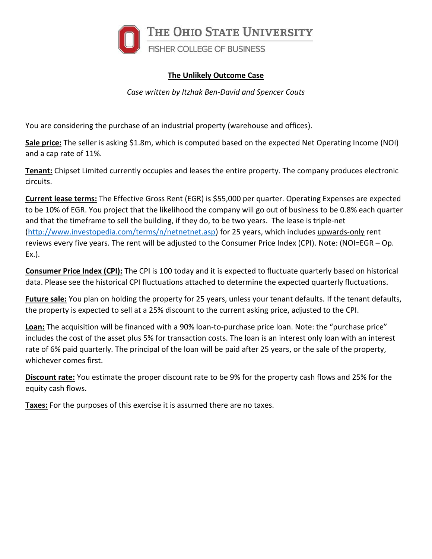

## **The Unlikely Outcome Case**

*Case written by Itzhak Ben-David and Spencer Couts*

You are considering the purchase of an industrial property (warehouse and offices).

**Sale price:** The seller is asking \$1.8m, which is computed based on the expected Net Operating Income (NOI) and a cap rate of 11%.

**Tenant:** Chipset Limited currently occupies and leases the entire property. The company produces electronic circuits.

**Current lease terms:** The Effective Gross Rent (EGR) is \$55,000 per quarter. Operating Expenses are expected to be 10% of EGR. You project that the likelihood the company will go out of business to be 0.8% each quarter and that the timeframe to sell the building, if they do, to be two years. The lease is triple-net [\(http://www.investopedia.com/terms/n/netnetnet.asp\)](http://www.investopedia.com/terms/n/netnetnet.asp) for 25 years, which includes upwards-only rent reviews every five years. The rent will be adjusted to the Consumer Price Index (CPI). Note: (NOI=EGR – Op. Ex.).

**Consumer Price Index (CPI):** The CPI is 100 today and it is expected to fluctuate quarterly based on historical data. Please see the historical CPI fluctuations attached to determine the expected quarterly fluctuations.

**Future sale:** You plan on holding the property for 25 years, unless your tenant defaults. If the tenant defaults, the property is expected to sell at a 25% discount to the current asking price, adjusted to the CPI.

**Loan:** The acquisition will be financed with a 90% loan-to-purchase price loan. Note: the "purchase price" includes the cost of the asset plus 5% for transaction costs. The loan is an interest only loan with an interest rate of 6% paid quarterly. The principal of the loan will be paid after 25 years, or the sale of the property, whichever comes first.

**Discount rate:** You estimate the proper discount rate to be 9% for the property cash flows and 25% for the equity cash flows.

**Taxes:** For the purposes of this exercise it is assumed there are no taxes.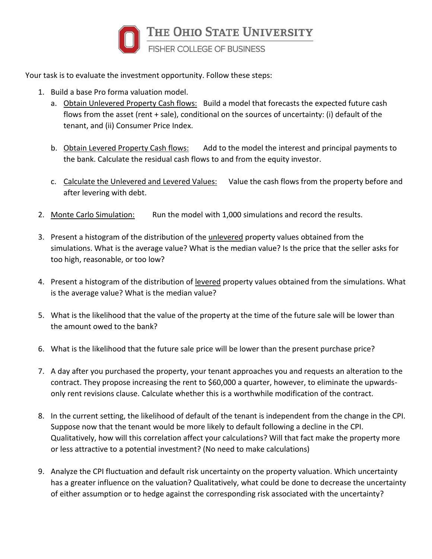

Your task is to evaluate the investment opportunity. Follow these steps:

- 1. Build a base Pro forma valuation model.
	- a. Obtain Unlevered Property Cash flows: Build a model that forecasts the expected future cash flows from the asset (rent + sale), conditional on the sources of uncertainty: (i) default of the tenant, and (ii) Consumer Price Index.
	- b. Obtain Levered Property Cash flows: Add to the model the interest and principal payments to the bank. Calculate the residual cash flows to and from the equity investor.
	- c. Calculate the Unlevered and Levered Values: Value the cash flows from the property before and after levering with debt.
- 2. Monte Carlo Simulation: Run the model with 1,000 simulations and record the results.
- 3. Present a histogram of the distribution of the unlevered property values obtained from the simulations. What is the average value? What is the median value? Is the price that the seller asks for too high, reasonable, or too low?
- 4. Present a histogram of the distribution of levered property values obtained from the simulations. What is the average value? What is the median value?
- 5. What is the likelihood that the value of the property at the time of the future sale will be lower than the amount owed to the bank?
- 6. What is the likelihood that the future sale price will be lower than the present purchase price?
- 7. A day after you purchased the property, your tenant approaches you and requests an alteration to the contract. They propose increasing the rent to \$60,000 a quarter, however, to eliminate the upwardsonly rent revisions clause. Calculate whether this is a worthwhile modification of the contract.
- 8. In the current setting, the likelihood of default of the tenant is independent from the change in the CPI. Suppose now that the tenant would be more likely to default following a decline in the CPI. Qualitatively, how will this correlation affect your calculations? Will that fact make the property more or less attractive to a potential investment? (No need to make calculations)
- 9. Analyze the CPI fluctuation and default risk uncertainty on the property valuation. Which uncertainty has a greater influence on the valuation? Qualitatively, what could be done to decrease the uncertainty of either assumption or to hedge against the corresponding risk associated with the uncertainty?